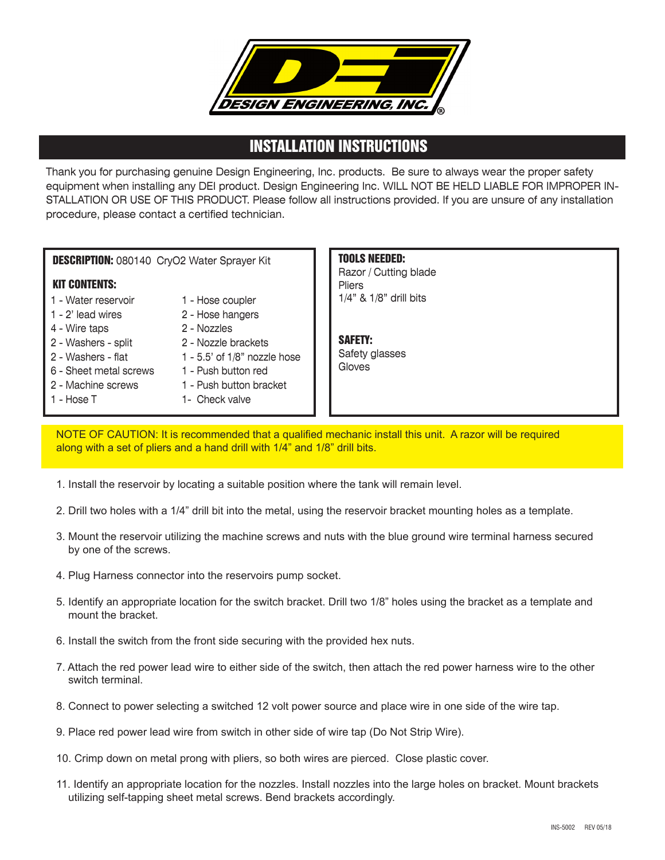

## INSTALLATION INSTRUCTIONS

Thank you for purchasing genuine Design Engineering, Inc. products. Be sure to always wear the proper safety equipment when installing any DEI product. Design Engineering Inc. WILL NOT BE HELD LIABLE FOR IMPROPER IN-STALLATION OR USE OF THIS PRODUCT. Please follow all instructions provided. If you are unsure of any installation procedure, please contact a certified technician.

**DESCRIPTION: 080140 CryO2 Water Sprayer Kit** 

## KIT CONTENTS:

- 1 Water reservoir
- 1 2' lead wires
- 4 Wire taps
- 2 Washers split
- 2 Washers flat
- 6 Sheet metal screws
- 2 Machine screws
- 1 Hose T
- 1 Hose coupler 2 - Hose hangers
- 2 Nozzles
- 2 Nozzle brackets
- 1 5.5' of 1/8" nozzle hose
- 1 Push button red
- 1 Push button bracket
- 1- Check valve

TOOLS NEEDED: Razor / Cutting blade Pliers 1/4" & 1/8" drill bits

SAFETY: Safety glasses Gloves

NOTE OF CAUTION: It is recommended that a qualified mechanic install this unit. A razor will be required along with a set of pliers and a hand drill with 1/4" and 1/8" drill bits.

- 1. Install the reservoir by locating a suitable position where the tank will remain level.
- 2. Drill two holes with a 1/4" drill bit into the metal, using the reservoir bracket mounting holes as a template.
- 3. Mount the reservoir utilizing the machine screws and nuts with the blue ground wire terminal harness secured by one of the screws.
- 4. Plug Harness connector into the reservoirs pump socket.
- 5. Identify an appropriate location for the switch bracket. Drill two 1/8" holes using the bracket as a template and mount the bracket.
- 6. Install the switch from the front side securing with the provided hex nuts.
- 7. Attach the red power lead wire to either side of the switch, then attach the red power harness wire to the other switch terminal.
- 8. Connect to power selecting a switched 12 volt power source and place wire in one side of the wire tap.
- 9. Place red power lead wire from switch in other side of wire tap (Do Not Strip Wire).
- 10. Crimp down on metal prong with pliers, so both wires are pierced. Close plastic cover.
- 11. Identify an appropriate location for the nozzles. Install nozzles into the large holes on bracket. Mount brackets utilizing self-tapping sheet metal screws. Bend brackets accordingly.